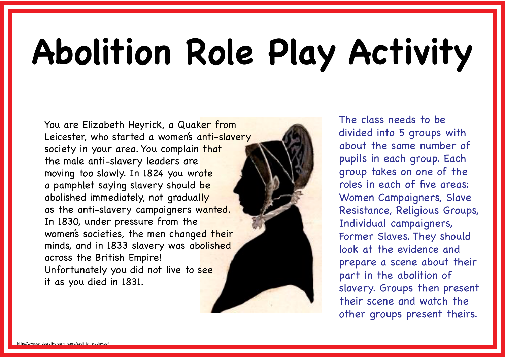# **Abolition Role Play Activity**

You are Elizabeth Heyrick, a Quaker from Leicester, who started a women's anti-slavery society in your area. You complain that the male anti-slavery leaders are moving too slowly. In 1824 you wrote a pamphlet saying slavery should be abolished immediately, not gradually as the anti-slavery campaigners wanted. In 1830, under pressure from the women's societies, the men changed their minds, and in 1833 slavery was abolished across the British Empire! Unfortunately you did not live to see it as you died in 1831.

The class needs to be divided into 5 groups with about the same number of pupils in each group. Each group takes on one of the roles in each of five areas: Women Campaigners, Slave Resistance, Religious Groups, Individual campaigners, Former Slaves. They should look at the evidence and prepare a scene about their part in the abolition of slavery. Groups then present their scene and watch the other groups present theirs.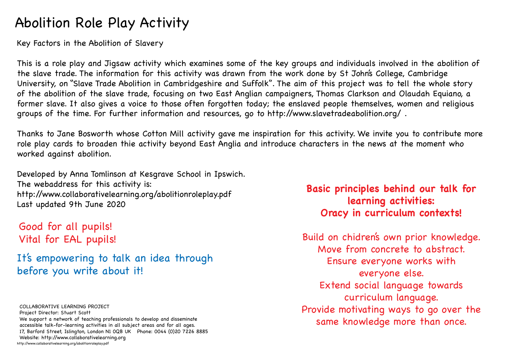## Abolition Role Play Activity

Key Factors in the Abolition of Slavery

This is a role play and Jigsaw activity which examines some of the key groups and individuals involved in the abolition of the slave trade. The information for this activity was drawn from the work done by St John's College, Cambridge University, on "Slave Trade Abolition in Cambridgeshire and Suffolk". The aim of this project was to tell the whole story of the abolition of the slave trade, focusing on two East Anglian campaigners, Thomas Clarkson and Olaudah Equiano, a former slave. It also gives a voice to those often forgotten today; the enslaved people themselves, women and religious groups of the time. For further information and resources, go to http://www.slavetradeabolition.org/ .

Thanks to Jane Bosworth whose Cotton Mill activity gave me inspiration for this activity. We invite you to contribute more role play cards to broaden thie activity beyond East Anglia and introduce characters in the news at the moment who worked against abolition.

Developed by Anna Tomlinson at Kesgrave School in Ipswich. The webaddress for this activity is: http://www.collaborativelearning.org/abolitionroleplay.pdf Last updated 9th June 2020

Good for all pupils! Vital for EAL pupils!

It's empowering to talk an idea through before you write about it!

http://www.collaborativelearning.org/abolitionroleplay.pdf COLLABORATIVE LEARNING PROJECT Project Director: Stuart Scott We support a network of teaching professionals to develop and disseminate accessible talk-for-learning activities in all subject areas and for all ages. 17, Barford Street, Islington, London N1 0QB UK Phone: 0044 (0)20 7226 8885 Website: http://www.collaborativelearning.org

#### **Basic principles behind our talk for learning activities: Oracy in curriculum contexts!**

Build on chidren's own prior knowledge. Move from concrete to abstract. Ensure everyone works with everyone else. Extend social language towards curriculum language. Provide motivating ways to go over the same knowledge more than once.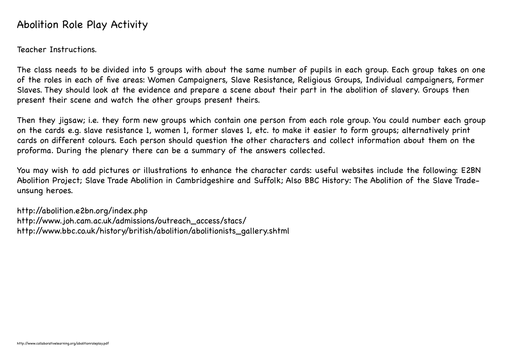#### Abolition Role Play Activity

Teacher Instructions.

The class needs to be divided into 5 groups with about the same number of pupils in each group. Each group takes on one of the roles in each of five areas: Women Campaigners, Slave Resistance, Religious Groups, Individual campaigners, Former Slaves. They should look at the evidence and prepare a scene about their part in the abolition of slavery. Groups then present their scene and watch the other groups present theirs.

Then they jigsaw; i.e. they form new groups which contain one person from each role group. You could number each group on the cards e.g. slave resistance 1, women 1, former slaves 1, etc. to make it easier to form groups; alternatively print cards on different colours. Each person should question the other characters and collect information about them on the proforma. During the plenary there can be a summary of the answers collected.

You may wish to add pictures or illustrations to enhance the character cards: useful websites include the following: E2BN Abolition Project; Slave Trade Abolition in Cambridgeshire and Suffolk; Also BBC History: The Abolition of the Slave Tradeunsung heroes.

http://abolition.e2bn.org/index.php http://www.joh.cam.ac.uk/admissions/outreach\_access/stacs/ http://www.bbc.co.uk/history/british/abolition/abolitionists\_gallery.shtml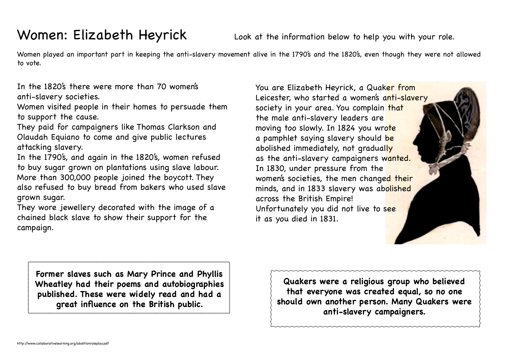## Women: Elizabeth Heyrick Look at the information below to help you with your role.

Women played an important part in keeping the anti-slavery movement alive in the 1790's and the 1820's, even though they were not allowed to vote.

In the 1820's there were more than 70 women's anti-slavery societies.

Women visited people in their homes to persuade them to support the cause.

They paid for campaigners like Thomas Clarkson and Olaudah Equiano to come and give public lectures attacking slavery.

In the 1790's, and again in the 1820's, women refused to buy sugar grown on plantations using slave labour. More than 300,000 people joined the boycott. They also refused to buy bread from bakers who used slave grown sugar.

They wore jewellery decorated with the image of a chained black slave to show their support for the campaign.

You are Elizabeth Heyrick, a Quaker from Leicester, who started a women's anti-slavery society in your area. You complain that the male anti-slavery leaders are moving too slowly. In 1824 you wrote a pamphlet saying slavery should be abolished immediately, not gradually as the anti-slavery campaigners wanted. In 1830, under pressure from the women's societies, the men changed their minds, and in 1833 slavery was abolished across the British Empire! Unfortunately you did not live to see it as you died in 1831.

**Former slaves such as Mary Prince and Phyllis Wheatley had their poems and autobiographies published. These were widely read and had a great influence on the British public.**

**Quakers were a religious group who believed that everyone was created equal, so no one should own another person. Many Quakers were anti-slavery campaigners.**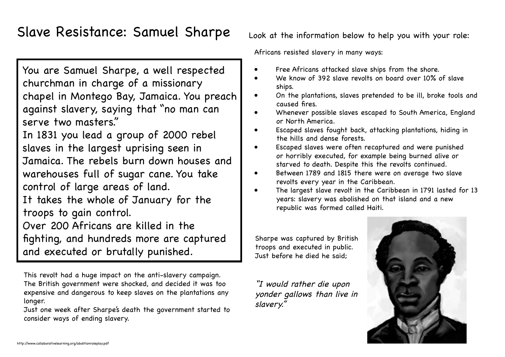### Slave Resistance: Samuel Sharpe Look at the information below to help you with your role:

You are Samuel Sharpe, a well respected churchman in charge of a missionary chapel in Montego Bay, Jamaica. You preach against slavery, saying that "no man can serve two masters."

In 1831 you lead a group of 2000 rebel slaves in the largest uprising seen in Jamaica. The rebels burn down houses and warehouses full of sugar cane. You take control of large areas of land. It takes the whole of January for the troops to gain control. Over 200 Africans are killed in the fighting, and hundreds more are captured and executed or brutally punished.

This revolt had a huge impact on the anti-slavery campaign. The British government were shocked, and decided it was too expensive and dangerous to keep slaves on the plantations any longer.

Just one week after Sharpe's death the government started to consider ways of ending slavery.

Africans resisted slavery in many ways:

- Free Africans attacked slave ships from the shore.
- We know of 392 slave revolts on board over 10% of slave ships.
- On the plantations, slaves pretended to be ill, broke tools and caused fires.
- Whenever possible slaves escaped to South America, England or North America.
- Escaped slaves fought back, attacking plantations, hiding in the hills and dense forests.
- Escaped slaves were often recaptured and were punished or horribly executed, for example being burned alive or starved to death. Despite this the revolts continued.
- Between 1789 and 1815 there were on average two slave revolts every year in the Caribbean.
- The largest slave revolt in the Caribbean in 1791 lasted for 13 years: slavery was abolished on that island and a new republic was formed called Haiti.

Sharpe was captured by British troops and executed in public. Just before he died he said;

"I would rather die upon yonder gallows than live in slavery."

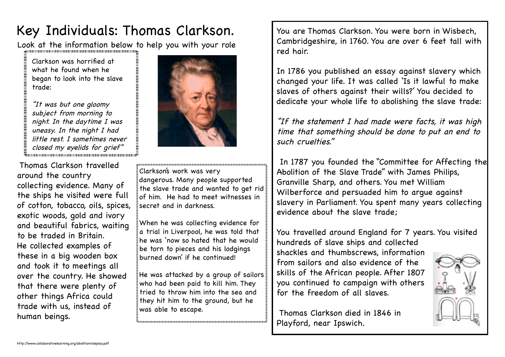## Key Individuals: Thomas Clarkson. You are Thomas Clarkson. You were born in Wisbech,

Look at the information below to help you with your role

Clarkson was horrified at what he found when he began to look into the slave trade:

"It was but one gloomy subject from morning to night. In the daytime I was uneasy. In the night I had little rest. I sometimes never  $\ddot{\bar{z}}$  closed my eyelids for grief $\ddot{\bar{z}}$ 

 Thomas Clarkson travelled around the country collecting evidence. Many of the ships he visited were full of cotton, tobacco, oils, spices, exotic woods, gold and ivory and beautiful fabrics, waiting to be traded in Britain. He collected examples of these in a big wooden box and took it to meetings all over the country. He showed that there were plenty of other things Africa could trade with us, instead of human beings.



Clarkson's work was very dangerous. Many people supported the slave trade and wanted to get rid of him. He had to meet witnesses in secret and in darkness.

When he was collecting evidence for a trial in Liverpool, he was told that he was 'now so hated that he would be torn to pieces and his lodgings burned down' if he continued!

He was attacked by a group of sailors who had been paid to kill him. They tried to throw him into the sea and they hit him to the ground, but he was able to escape.

Cambridgeshire, in 1760. You are over 6 feet tall with red hair.

In 1786 you published an essay against slavery which changed your life. It was called 'Is it lawful to make slaves of others against their wills?' You decided to dedicate your whole life to abolishing the slave trade:

"If the statement I had made were facts, it was high time that something should be done to put an end to such cruelties."

 In 1787 you founded the "Committee for Affecting the Abolition of the Slave Trade" with James Philips, Granville Sharp, and others. You met William Wilberforce and persuaded him to argue against slavery in Parliament. You spent many years collecting evidence about the slave trade;

You travelled around England for 7 years. You visited hundreds of slave ships and collected shackles and thumbscrews, information from sailors and also evidence of the skills of the African people. After 1807 you continued to campaign with others for the freedom of all slaves.



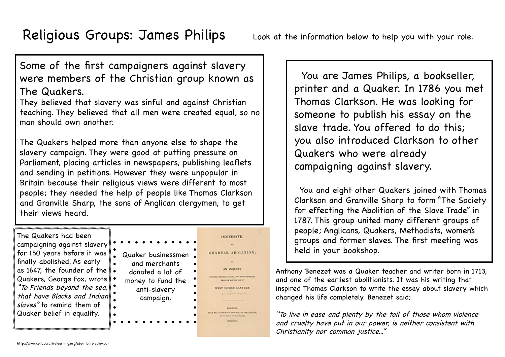#### Some of the first campaigners against slavery were members of the Christian group known as The Quakers.

They believed that slavery was sinful and against Christian teaching. They believed that all men were created equal, so no man should own another.

The Quakers helped more than anyone else to shape the slavery campaign. They were good at putting pressure on Parliament, placing articles in newspapers, publishing leaflets and sending in petitions. However they were unpopular in Britain because their religious views were different to most people; they needed the help of people like Thomas Clarkson and Granville Sharp, the sons of Anglican clergymen, to get their views heard.

The Quakers had been campaigning against slavery for 150 years before it was finally abolished. As early as 1647, the founder of the Quakers, George Fox, wrote "To Friends beyond the sea, that have Blacks and Indian slaves" to remind them of Quaker belief in equality.



**IMMEDIATE** 

AN INQUIRY **MARTINE, SARGER, AND MINT AND** sinks by colemns for the

 You are James Philips, a bookseller, printer and a Quaker. In 1786 you met Thomas Clarkson. He was looking for someone to publish his essay on the slave trade. You offered to do this; you also introduced Clarkson to other Quakers who were already campaigning against slavery.

 You and eight other Quakers joined with Thomas Clarkson and Granville Sharp to form "The Society for effecting the Abolition of the Slave Trade" in 1787. This group united many different groups of people; Anglicans, Quakers, Methodists, women's groups and former slaves. The first meeting was held in your bookshop.

Anthony Benezet was a Quaker teacher and writer born in 1713, and one of the earliest abolitionists. It was his writing that inspired Thomas Clarkson to write the essay about slavery which changed his life completely. Benezet said;

"To live in ease and plenty by the toil of those whom violence and cruelty have put in our power, is neither consistent with Christianity nor common justice..."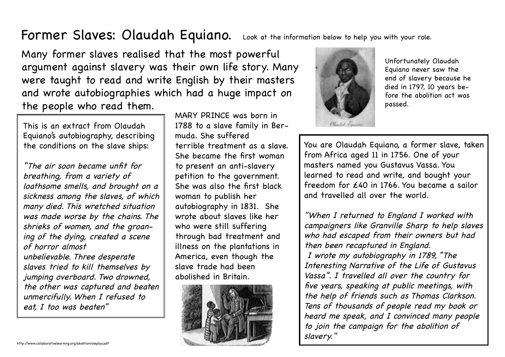#### Former Slaves: Olaudah Equiano. Look at the information below to help you with your role.

Many former slaves realised that the most powerful argument against slavery was their own life story. Many were taught to read and write English by their masters and wrote autobiographies which had a huge impact on the people who read them.

This is an extract from Olaudah Equiano's autobiography, describing the conditions on the slave ships:

"The air soon became unfit for breathing, from a variety of loathsome smells, and brought on a sickness among the slaves, of which many died. This wretched situation was made worse by the chains. The shrieks of women, and the groaning of the dying, created a scene of horror almost unbelievable. Three desperate slaves tried to kill themselves by jumping overboard. Two drowned, the other was captured and beaten unmercifully. When I refused to eat, I too was beaten"

MARY PRINCE was born in 1788 to a slave family in Bermuda. She suffered terrible treatment as a slave. She became the first woman to present an anti-slavery petition to the government. She was also the first black woman to publish her autobiography in 1831. She wrote about slaves like her who were still suffering through bad treatment and illness on the plantations in America, even though the slave trade had been abolished in Britain.





Unfortunately Olaudah Equiano never saw the end of slavery because he died in 1797, 10 years before the abolition act was passed.

You are Olaudah Equiano, a former slave, taken from Africa aged 11 in 1756. One of your masters named you Gustavus Vassa. You learned to read and write, and bought your freedom for £40 in 1766. You became a sailor and travelled all over the world.

"When I returned to England I worked with campaigners like Granville Sharp to help slaves who had escaped from their owners but had then been recaptured in England. I wrote my autobiography in 1789, "The Interesting Narrative of the Life of Gustavus Vassa". I travelled all over the country for five years, speaking at public meetings, with the help of friends such as Thomas Clarkson. Tens of thousands of people read my book or heard me speak, and I convinced many people to join the campaign for the abolition of slavery."